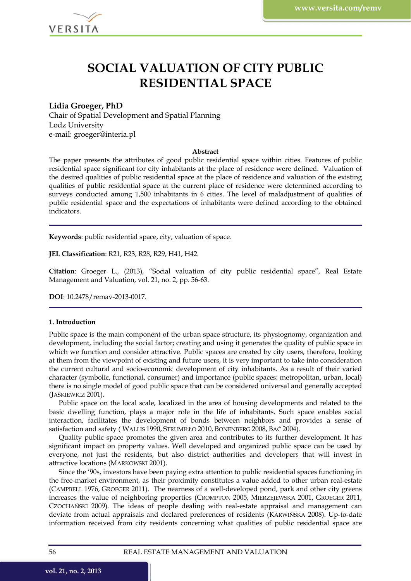

# **SOCIAL VALUATION OF CITY PUBLIC RESIDENTIAL SPACE**

## **Lidia Groeger, PhD**

Chair of Spatial Development and Spatial Planning Lodz University e-mail: groeger@interia.pl

#### **Abstract**

The paper presents the attributes of good public residential space within cities. Features of public residential space significant for city inhabitants at the place of residence were defined. Valuation of the desired qualities of public residential space at the place of residence and valuation of the existing qualities of public residential space at the current place of residence were determined according to surveys conducted among 1,500 inhabitants in 6 cities. The level of maladjustment of qualities of public residential space and the expectations of inhabitants were defined according to the obtained indicators.

**Keywords**: public residential space, city, valuation of space.

**JEL Classification**: R21, R23, R28, R29, H41, H42.

**Citation**: Groeger L., (2013), "Social valuation of city public residential space", Real Estate Management and Valuation, vol. 21, no. 2, pp. 56-63.

**DOI**: 10.2478/remav-2013-0017.

#### **1. Introduction**

Public space is the main component of the urban space structure, its physiognomy, organization and development, including the social factor; creating and using it generates the quality of public space in which we function and consider attractive. Public spaces are created by city users, therefore, looking at them from the viewpoint of existing and future users, it is very important to take into consideration the current cultural and socio-economic development of city inhabitants. As a result of their varied character (symbolic, functional, consumer) and importance (public spaces: metropolitan, urban, local) there is no single model of good public space that can be considered universal and generally accepted (JAŚKIEWICZ 2001).

Public space on the local scale, localized in the area of housing developments and related to the basic dwelling function, plays a major role in the life of inhabitants. Such space enables social interaction, facilitates the development of bonds between neighbors and provides a sense of satisfaction and safety ( WALLIS 1990, STRUMIŁŁO 2010, BONENBERG 2008, BAĆ 2004).

Quality public space promotes the given area and contributes to its further development. It has significant impact on property values. Well developed and organized public space can be used by everyone, not just the residents, but also district authorities and developers that will invest in attractive locations (MARKOWSKI 2001).

Since the '90s, investors have been paying extra attention to public residential spaces functioning in the free-market environment, as their proximity constitutes a value added to other urban real-estate (CAMPBELL 1976, GROEGER 2011). The nearness of a well-developed pond, park and other city greens increases the value of neighboring properties (CROMPTON 2005, MIERZEJEWSKA 2001, GROEGER 2011, CZOCHAŃSKI 2009). The ideas of people dealing with real-estate appraisal and management can deviate from actual appraisals and declared preferences of residents (KARWIŃSKA 2008). Up-to-date information received from city residents concerning what qualities of public residential space are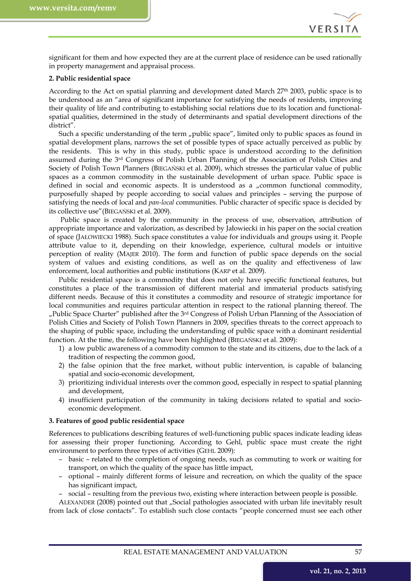

significant for them and how expected they are at the current place of residence can be used rationally in property management and appraisal process.

### **2. Public residential space**

According to the Act on spatial planning and development dated March 27th 2003, public space is to be understood as an "area of significant importance for satisfying the needs of residents, improving their quality of life and contributing to establishing social relations due to its location and functionalspatial qualities, determined in the study of determinants and spatial development directions of the district".

Such a specific understanding of the term "public space", limited only to public spaces as found in spatial development plans, narrows the set of possible types of space actually perceived as public by the residents. This is why in this study, public space is understood according to the definition assumed during the 3rd Congress of Polish Urban Planning of the Association of Polish Cities and Society of Polish Town Planners (BIEGAŃSKI et al. 2009), which stresses the particular value of public spaces as a common commodity in the sustainable development of urban space. Public space is defined in social and economic aspects. It is understood as a "common functional commodity, purposefully shaped by people according to social values and principles – serving the purpose of satisfying the needs of local and *pan-local* communities. Public character of specific space is decided by its collective use"(BIEGAŃSKI et al. 2009).

 Public space is created by the community in the process of use, observation, attribution of appropriate importance and valorization, as described by Jałowiecki in his paper on the social creation of space (JAŁOWIECKI 1988). Such space constitutes a value for individuals and groups using it. People attribute value to it, depending on their knowledge, experience, cultural models or intuitive perception of reality (MAJER 2010). The form and function of public space depends on the social system of values and existing conditions, as well as on the quality and effectiveness of law enforcement, local authorities and public institutions (KARP et al. 2009).

Public residential space is a commodity that does not only have specific functional features, but constitutes a place of the transmission of different material and immaterial products satisfying different needs. Because of this it constitutes a commodity and resource of strategic importance for local communities and requires particular attention in respect to the rational planning thereof. The "Public Space Charter" published after the 3<sup>rd</sup> Congress of Polish Urban Planning of the Association of Polish Cities and Society of Polish Town Planners in 2009, specifies threats to the correct approach to the shaping of public space, including the understanding of public space with a dominant residential function. At the time, the following have been highlighted (BIEGAŃSKI et al. 2009):

- 1) a low public awareness of a commodity common to the state and its citizens, due to the lack of a tradition of respecting the common good,
- 2) the false opinion that the free market, without public intervention, is capable of balancing spatial and socio-economic development,
- 3) prioritizing individual interests over the common good, especially in respect to spatial planning and development,
- 4) insufficient participation of the community in taking decisions related to spatial and socioeconomic development.

#### **3. Features of good public residential space**

References to publications describing features of well-functioning public spaces indicate leading ideas for assessing their proper functioning. According to Gehl, public space must create the right environment to perform three types of activities (GEHL 2009):

- basic related to the completion of ongoing needs, such as commuting to work or waiting for transport, on which the quality of the space has little impact,
- optional mainly different forms of leisure and recreation, on which the quality of the space has significant impact,
- social resulting from the previous two, existing where interaction between people is possible.

ALEXANDER (2008) pointed out that "Social pathologies associated with urban life inevitably result from lack of close contacts". To establish such close contacts "people concerned must see each other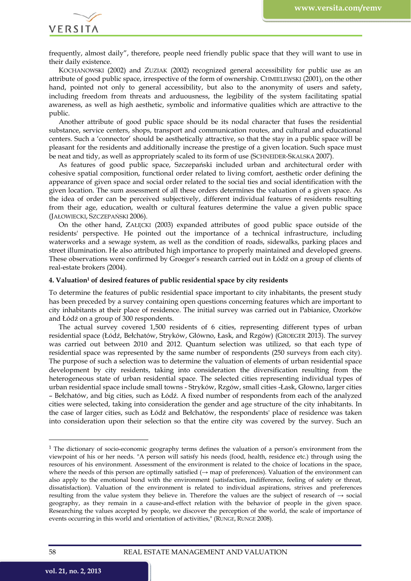VERSITA

frequently, almost daily", therefore, people need friendly public space that they will want to use in their daily existence.

KOCHANOWSKI (2002) and ZUZIAK (2002) recognized general accessibility for public use as an attribute of good public space, irrespective of the form of ownership. CHMIELEWSKI (2001), on the other hand, pointed not only to general accessibility, but also to the anonymity of users and safety, including freedom from threats and arduousness, the legibility of the system facilitating spatial awareness, as well as high aesthetic, symbolic and informative qualities which are attractive to the public.

Another attribute of good public space should be its nodal character that fuses the residential substance, service centers, shops, transport and communication routes, and cultural and educational centers. Such a 'connector' should be aesthetically attractive, so that the stay in a public space will be pleasant for the residents and additionally increase the prestige of a given location. Such space must be neat and tidy, as well as appropriately scaled to its form of use (SCHNEIDER-SKALSKA 2007).

As features of good public space, Szczepański included urban and architectural order with cohesive spatial composition, functional order related to living comfort, aesthetic order defining the appearance of given space and social order related to the social ties and social identification with the given location. The sum assessment of all these orders determines the valuation of a given space. As the idea of order can be perceived subjectively, different individual features of residents resulting from their age, education, wealth or cultural features determine the value a given public space (JAŁOWIECKI, SZCZEPAŃSKI 2006).

On the other hand, ZAŁĘCKI (2003) expanded attributes of good public space outside of the residents' perspective. He pointed out the importance of a technical infrastructure, including waterworks and a sewage system, as well as the condition of roads, sidewalks, parking places and street illumination. He also attributed high importance to properly maintained and developed greens. These observations were confirmed by Groeger's research carried out in Łódź on a group of clients of real-estate brokers (2004).

#### **4. Valuation1 of desired features of public residential space by city residents**

To determine the features of public residential space important to city inhabitants, the present study has been preceded by a survey containing open questions concerning features which are important to city inhabitants at their place of residence. The initial survey was carried out in Pabianice, Ozorków and Łódź on a group of 300 respondents.

The actual survey covered 1,500 residents of 6 cities, representing different types of urban residential space (Łódź, Bełchatów, Stryków, Główno, Łask, and Rzgów) (GROEGER 2013). The survey was carried out between 2010 and 2012. Quantum selection was utilized, so that each type of residential space was represented by the same number of respondents (250 surveys from each city). The purpose of such a selection was to determine the valuation of elements of urban residential space development by city residents, taking into consideration the diversification resulting from the heterogeneous state of urban residential space. The selected cities representing individual types of urban residential space include small towns - Stryków, Rzgów, small cities -Łask, Głowno, larger cities – Bełchatów, and big cities, such as Łódź. A fixed number of respondents from each of the analyzed cities were selected, taking into consideration the gender and age structure of the city inhabitants. In the case of larger cities, such as Łódź and Bełchatów, the respondents' place of residence was taken into consideration upon their selection so that the entire city was covered by the survey. Such an

1

<sup>1</sup> The dictionary of socio-economic geography terms defines the valuation of a person's environment from the viewpoint of his or her needs. "A person will satisfy his needs (food, health, residence etc.) through using the resources of his environment. Assessment of the environment is related to the choice of locations in the space, where the needs of this person are optimally satisfied ( $\rightarrow$  map of preferences). Valuation of the environment can also apply to the emotional bond with the environment (satisfaction, indifference, feeling of safety or threat, dissatisfaction). Valuation of the environment is related to individual aspirations, strives and preferences resulting from the value system they believe in. Therefore the values are the subject of research of  $\rightarrow$  social geography, as they remain in a cause-and-effect relation with the behavior of people in the given space. Researching the values accepted by people, we discover the perception of the world, the scale of importance of events occurring in this world and orientation of activities," (RUNGE, RUNGE 2008).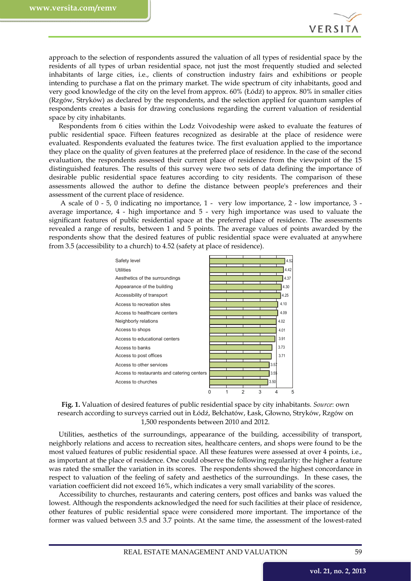

approach to the selection of respondents assured the valuation of all types of residential space by the residents of all types of urban residential space, not just the most frequently studied and selected inhabitants of large cities, i.e., clients of construction industry fairs and exhibitions or people intending to purchase a flat on the primary market. The wide spectrum of city inhabitants, good and very good knowledge of the city on the level from approx. 60% (Łódź) to approx. 80% in smaller cities (Rzgów, Stryków) as declared by the respondents, and the selection applied for quantum samples of respondents creates a basis for drawing conclusions regarding the current valuation of residential space by city inhabitants.

Respondents from 6 cities within the Lodz Voivodeship were asked to evaluate the features of public residential space. Fifteen features recognized as desirable at the place of residence were evaluated. Respondents evaluated the features twice. The first evaluation applied to the importance they place on the quality of given features at the preferred place of residence. In the case of the second evaluation, the respondents assessed their current place of residence from the viewpoint of the 15 distinguished features. The results of this survey were two sets of data defining the importance of desirable public residential space features according to city residents. The comparison of these assessments allowed the author to define the distance between people's preferences and their assessment of the current place of residence.

 A scale of 0 - 5, 0 indicating no importance, 1 - very low importance, 2 - low importance, 3 average importance, 4 - high importance and 5 - very high importance was used to valuate the significant features of public residential space at the preferred place of residence. The assessments revealed a range of results, between 1 and 5 points. The average values of points awarded by the respondents show that the desired features of public residential space were evaluated at anywhere from 3.5 (accessibility to a church) to 4.52 (safety at place of residence).



**Fig. 1.** Valuation of desired features of public residential space by city inhabitants. *Source*: own research according to surveys carried out in Łódź, Bełchatów, Łask, Głowno, Stryków, Rzgów on 1,500 respondents between 2010 and 2012.

Utilities, aesthetics of the surroundings, appearance of the building, accessibility of transport, neighborly relations and access to recreation sites, healthcare centers, and shops were found to be the most valued features of public residential space. All these features were assessed at over 4 points, i.e., as important at the place of residence. One could observe the following regularity: the higher a feature was rated the smaller the variation in its scores. The respondents showed the highest concordance in respect to valuation of the feeling of safety and aesthetics of the surroundings. In these cases, the variation coefficient did not exceed 16%, which indicates a very small variability of the scores.

Accessibility to churches, restaurants and catering centers, post offices and banks was valued the lowest. Although the respondents acknowledged the need for such facilities at their place of residence, other features of public residential space were considered more important. The importance of the former was valued between 3.5 and 3.7 points. At the same time, the assessment of the lowest-rated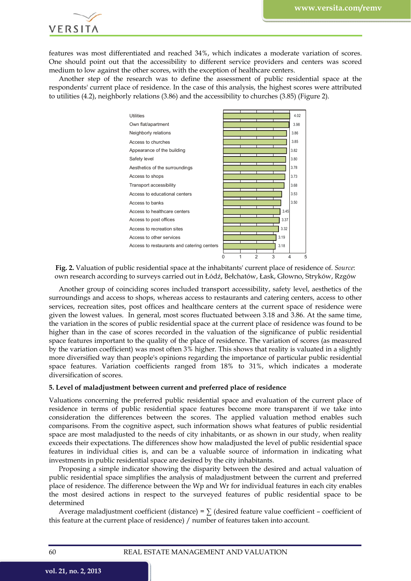

features was most differentiated and reached 34%, which indicates a moderate variation of scores. One should point out that the accessibility to different service providers and centers was scored medium to low against the other scores, with the exception of healthcare centers.

Another step of the research was to define the assessment of public residential space at the respondents' current place of residence. In the case of this analysis, the highest scores were attributed to utilities (4.2), neighborly relations (3.86) and the accessibility to churches (3.85) (Figure 2).



**Fig. 2.** Valuation of public residential space at the inhabitants' current place of residence of. *Source*: own research according to surveys carried out in Łódź, Bełchatów, Łask, Głowno, Stryków, Rzgów

Another group of coinciding scores included transport accessibility, safety level, aesthetics of the surroundings and access to shops, whereas access to restaurants and catering centers, access to other services, recreation sites, post offices and healthcare centers at the current space of residence were given the lowest values. In general, most scores fluctuated between 3.18 and 3.86. At the same time, the variation in the scores of public residential space at the current place of residence was found to be higher than in the case of scores recorded in the valuation of the significance of public residential space features important to the quality of the place of residence. The variation of scores (as measured by the variation coefficient) was most often 3% higher. This shows that reality is valuated in a slightly more diversified way than people's opinions regarding the importance of particular public residential space features. Variation coefficients ranged from 18% to 31%, which indicates a moderate diversification of scores.

## **5. Level of maladjustment between current and preferred place of residence**

Valuations concerning the preferred public residential space and evaluation of the current place of residence in terms of public residential space features become more transparent if we take into consideration the differences between the scores. The applied valuation method enables such comparisons. From the cognitive aspect, such information shows what features of public residential space are most maladjusted to the needs of city inhabitants, or as shown in our study, when reality exceeds their expectations. The differences show how maladjusted the level of public residential space features in individual cities is, and can be a valuable source of information in indicating what investments in public residential space are desired by the city inhabitants.

Proposing a simple indicator showing the disparity between the desired and actual valuation of public residential space simplifies the analysis of maladjustment between the current and preferred place of residence. The difference between the Wp and Wr for individual features in each city enables the most desired actions in respect to the surveyed features of public residential space to be determined

Average maladjustment coefficient (distance) =  $\sum$  (desired feature value coefficient – coefficient of this feature at the current place of residence) / number of features taken into account.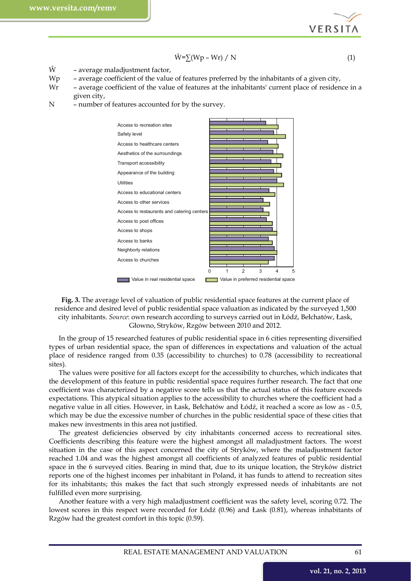**VERSITA** 

$$
\hat{W} = \sum (Wp - Wr) / N \tag{1}
$$

 $\hat{W}$  – average maladjustment factor,

- Wp average coefficient of the value of features preferred by the inhabitants of a given city,
- Wr average coefficient of the value of features at the inhabitants' current place of residence in a given city,
- N number of features accounted for by the survey.



**Fig. 3.** The average level of valuation of public residential space features at the current place of residence and desired level of public residential space valuation as indicated by the surveyed 1,500 city inhabitants. *Source*: own research according to surveys carried out in Łódź, Bełchatów, Łask, Głowno, Stryków, Rzgów between 2010 and 2012.

In the group of 15 researched features of public residential space in 6 cities representing diversified types of urban residential space, the span of differences in expectations and valuation of the actual place of residence ranged from 0.35 (accessibility to churches) to 0.78 (accessibility to recreational sites).

The values were positive for all factors except for the accessibility to churches, which indicates that the development of this feature in public residential space requires further research. The fact that one coefficient was characterized by a negative score tells us that the actual status of this feature exceeds expectations. This atypical situation applies to the accessibility to churches where the coefficient had a negative value in all cities. However, in Łask, Bełchatów and Łódź, it reached a score as low as - 0.5, which may be due the excessive number of churches in the public residential space of these cities that makes new investments in this area not justified.

The greatest deficiencies observed by city inhabitants concerned access to recreational sites. Coefficients describing this feature were the highest amongst all maladjustment factors. The worst situation in the case of this aspect concerned the city of Stryków, where the maladjustment factor reached 1.04 and was the highest amongst all coefficients of analyzed features of public residential space in the 6 surveyed cities. Bearing in mind that, due to its unique location, the Stryków district reports one of the highest incomes per inhabitant in Poland, it has funds to attend to recreation sites for its inhabitants; this makes the fact that such strongly expressed needs of inhabitants are not fulfilled even more surprising.

Another feature with a very high maladjustment coefficient was the safety level, scoring 0.72. The lowest scores in this respect were recorded for Łódź (0.96) and Łask (0.81), whereas inhabitants of Rzgów had the greatest comfort in this topic (0.59).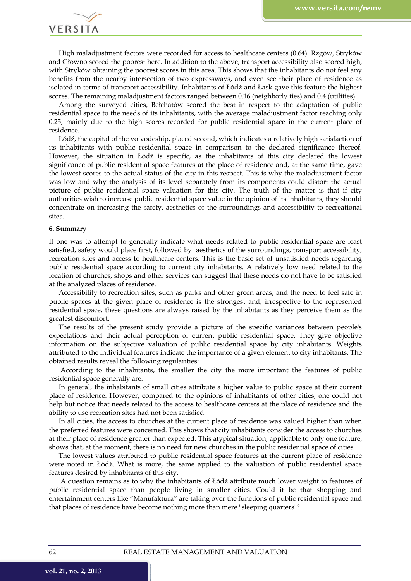VERSITA

High maladjustment factors were recorded for access to healthcare centers (0.64). Rzgów, Stryków and Głowno scored the poorest here. In addition to the above, transport accessibility also scored high, with Stryków obtaining the poorest scores in this area. This shows that the inhabitants do not feel any benefits from the nearby intersection of two expressways, and even see their place of residence as isolated in terms of transport accessibility. Inhabitants of Łódź and Łask gave this feature the highest scores. The remaining maladjustment factors ranged between 0.16 (neighborly ties) and 0.4 (utilities).

Among the surveyed cities, Bełchatów scored the best in respect to the adaptation of public residential space to the needs of its inhabitants, with the average maladjustment factor reaching only 0.25, mainly due to the high scores recorded for public residential space in the current place of residence.

Łódź, the capital of the voivodeship, placed second, which indicates a relatively high satisfaction of its inhabitants with public residential space in comparison to the declared significance thereof. However, the situation in Łódź is specific, as the inhabitants of this city declared the lowest significance of public residential space features at the place of residence and, at the same time, gave the lowest scores to the actual status of the city in this respect. This is why the maladjustment factor was low and why the analysis of its level separately from its components could distort the actual picture of public residential space valuation for this city. The truth of the matter is that if city authorities wish to increase public residential space value in the opinion of its inhabitants, they should concentrate on increasing the safety, aesthetics of the surroundings and accessibility to recreational sites.

#### **6. Summary**

If one was to attempt to generally indicate what needs related to public residential space are least satisfied, safety would place first, followed by aesthetics of the surroundings, transport accessibility, recreation sites and access to healthcare centers. This is the basic set of unsatisfied needs regarding public residential space according to current city inhabitants. A relatively low need related to the location of churches, shops and other services can suggest that these needs do not have to be satisfied at the analyzed places of residence.

Accessibility to recreation sites, such as parks and other green areas, and the need to feel safe in public spaces at the given place of residence is the strongest and, irrespective to the represented residential space, these questions are always raised by the inhabitants as they perceive them as the greatest discomfort.

The results of the present study provide a picture of the specific variances between people's expectations and their actual perception of current public residential space. They give objective information on the subjective valuation of public residential space by city inhabitants. Weights attributed to the individual features indicate the importance of a given element to city inhabitants. The obtained results reveal the following regularities:

 According to the inhabitants, the smaller the city the more important the features of public residential space generally are.

In general, the inhabitants of small cities attribute a higher value to public space at their current place of residence. However, compared to the opinions of inhabitants of other cities, one could not help but notice that needs related to the access to healthcare centers at the place of residence and the ability to use recreation sites had not been satisfied.

In all cities, the access to churches at the current place of residence was valued higher than when the preferred features were concerned. This shows that city inhabitants consider the access to churches at their place of residence greater than expected. This atypical situation, applicable to only one feature, shows that, at the moment, there is no need for new churches in the public residential space of cities.

The lowest values attributed to public residential space features at the current place of residence were noted in Łódź. What is more, the same applied to the valuation of public residential space features desired by inhabitants of this city.

 A question remains as to why the inhabitants of Łódź attribute much lower weight to features of public residential space than people living in smaller cities. Could it be that shopping and entertainment centers like "Manufaktura" are taking over the functions of public residential space and that places of residence have become nothing more than mere "sleeping quarters"?